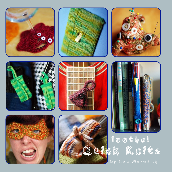















Santek Knits